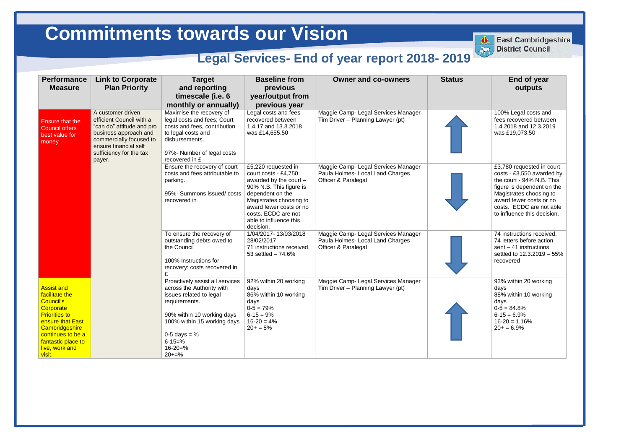## **End of year outputs**

100% Legal costs and fees recovered between 1.4.2018 and 12.3.2019 was £19,073.50

93% within 20 working days 88% within 10 working days  $0-5 = 84.8%$  $6 - 15 = 6.9\%$  $16 - 20 = 1.16%$  $20+ = 6.9%$ 

| <b>Performance</b><br><b>Measure</b>                                                                                                                                                                      | <b>Link to Corporate</b><br><b>Plan Priority</b>                                                                                                                                             | <b>Target</b><br>and reporting<br>timescale (i.e. 6<br>monthly or annually)                                                                                                                                                           | <b>Baseline from</b><br>previous<br>year/output from<br>previous year                                                                                                                                                                    | <b>Owner and co-owners</b>                                                                     | <b>Status</b> |
|-----------------------------------------------------------------------------------------------------------------------------------------------------------------------------------------------------------|----------------------------------------------------------------------------------------------------------------------------------------------------------------------------------------------|---------------------------------------------------------------------------------------------------------------------------------------------------------------------------------------------------------------------------------------|------------------------------------------------------------------------------------------------------------------------------------------------------------------------------------------------------------------------------------------|------------------------------------------------------------------------------------------------|---------------|
| <b>Ensure that the</b><br><b>Council offers</b><br>best value for<br>money                                                                                                                                | A customer driven<br>efficient Council with a<br>"can do" attitude and pro<br>business approach and<br>commercially focused to<br>ensure financial self<br>sufficiency for the tax<br>payer. | Maximise the recovery of<br>legal costs and fees; Court<br>costs and fees, contribution<br>to legal costs and<br>disbursements.<br>97%- Number of legal costs<br>recovered in £                                                       | Legal costs and fees<br>recovered between<br>1.4.17 and 13.3.2018<br>was £14,655.50                                                                                                                                                      | Maggie Camp- Legal Services Manager<br>Tim Driver - Planning Lawyer (pt)                       |               |
|                                                                                                                                                                                                           |                                                                                                                                                                                              | Ensure the recovery of court<br>costs and fees attributable to<br>parking.<br>95%- Summons issued/costs<br>recovered in                                                                                                               | £5,220 requested in<br>court costs - £4,750<br>awarded by the court -<br>90% N.B. This figure is<br>dependent on the<br>Magistrates choosing to<br>award fewer costs or no<br>costs. ECDC are not<br>able to influence this<br>decision. | Maggie Camp- Legal Services Manager<br>Paula Holmes- Local Land Charges<br>Officer & Paralegal |               |
|                                                                                                                                                                                                           |                                                                                                                                                                                              | To ensure the recovery of<br>outstanding debts owed to<br>the Council<br>100% Instructions for<br>recovery: costs recovered in<br>£                                                                                                   | 1/04/2017-13/03/2018<br>28/02/2017<br>71 instructions received,<br>53 settled - 74.6%                                                                                                                                                    | Maggie Camp- Legal Services Manager<br>Paula Holmes- Local Land Charges<br>Officer & Paralegal |               |
| <b>Assist and</b><br>facilitate the<br><b>Council's</b><br>Corporate<br><b>Priorities to</b><br>ensure that East<br>Cambridgeshire<br>continues to be a<br>fantastic place to<br>live, work and<br>visit. |                                                                                                                                                                                              | Proactively assist all services<br>across the Authority with<br>issues related to legal<br>requirements.<br>90% within 10 working days<br>100% within 15 working days<br>0-5 days = $%$<br>$6 - 15 = \%$<br>$16 - 20 = \%$<br>$20+=%$ | 92% within 20 working<br>days<br>86% within 10 working<br>days<br>$0-5 = 79%$<br>$6 - 15 = 9%$<br>$16-20 = 4%$<br>$20+ = 8%$                                                                                                             | Maggie Camp- Legal Services Manager<br>Tim Driver - Planning Lawyer (pt)                       |               |



**East Cambridgeshire District Council** 

£3,780 requested in court costs - £3,550 awarded by the court - 94% N.B. This figure is dependent on the Magistrates choosing to award fewer costs or no costs. ECDC are not able to influence this decision.

74 instructions received, 74 letters before action sent – 41 instructions settled to 12.3.2019 – 55% recovered

## **Commitments towards our Vision Commitments towards our Vision**

## **Legal Services- End of year report 2018-2019**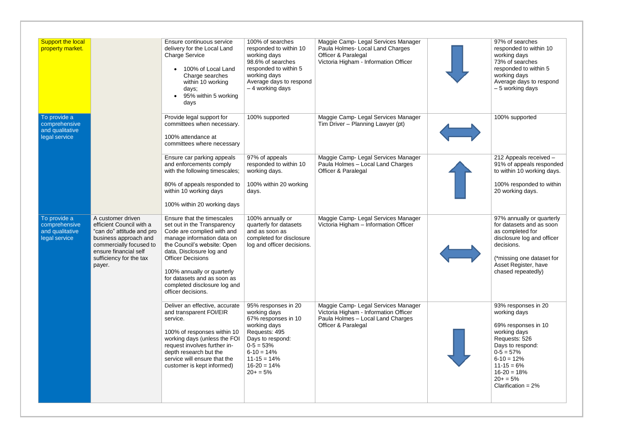| <b>Support the local</b><br>property market.                      |                                                                                                                                                                                              | Ensure continuous service<br>delivery for the Local Land<br><b>Charge Service</b><br>100% of Local Land<br>Charge searches<br>within 10 working<br>days;<br>95% within 5 working<br>days                                                                                                                                        | 100% of searches<br>responded to within 10<br>working days<br>98.6% of searches<br>responded to within 5<br>working days<br>Average days to respond<br>- 4 working days                            | Maggie Camp- Legal Services Manager<br>Paula Holmes- Local Land Charges<br>Officer & Paralegal<br>Victoria Higham - Information Officer  |  |
|-------------------------------------------------------------------|----------------------------------------------------------------------------------------------------------------------------------------------------------------------------------------------|---------------------------------------------------------------------------------------------------------------------------------------------------------------------------------------------------------------------------------------------------------------------------------------------------------------------------------|----------------------------------------------------------------------------------------------------------------------------------------------------------------------------------------------------|------------------------------------------------------------------------------------------------------------------------------------------|--|
| To provide a<br>comprehensive<br>and qualitative<br>legal service |                                                                                                                                                                                              | Provide legal support for<br>committees when necessary.<br>100% attendance at<br>committees where necessary                                                                                                                                                                                                                     | 100% supported                                                                                                                                                                                     | Maggie Camp- Legal Services Manager<br>Tim Driver - Planning Lawyer (pt)                                                                 |  |
|                                                                   |                                                                                                                                                                                              | Ensure car parking appeals<br>and enforcements comply<br>with the following timescales;<br>80% of appeals responded to<br>within 10 working days<br>100% within 20 working days                                                                                                                                                 | 97% of appeals<br>responded to within 10<br>working days.<br>100% within 20 working<br>days.                                                                                                       | Maggie Camp- Legal Services Manager<br>Paula Holmes - Local Land Charges<br>Officer & Paralegal                                          |  |
| To provide a<br>comprehensive<br>and qualitative<br>legal service | A customer driven<br>efficient Council with a<br>"can do" attitude and pro<br>business approach and<br>commercially focused to<br>ensure financial self<br>sufficiency for the tax<br>payer. | Ensure that the timescales<br>set out in the Transparency<br>Code are complied with and<br>manage information data on<br>the Council's website: Open<br>data, Disclosure log and<br><b>Officer Decisions</b><br>100% annually or quarterly<br>for datasets and as soon as<br>completed disclosure log and<br>officer decisions. | 100% annually or<br>quarterly for datasets<br>and as soon as<br>completed for disclosure<br>log and officer decisions.                                                                             | Maggie Camp- Legal Services Manager<br>Victoria Higham - Information Officer                                                             |  |
|                                                                   |                                                                                                                                                                                              | Deliver an effective, accurate<br>and transparent FOI/EIR<br>service.<br>100% of responses within 10<br>working days (unless the FOI<br>request involves further in-<br>depth research but the<br>service will ensure that the<br>customer is kept informed)                                                                    | 95% responses in 20<br>working days<br>67% responses in 10<br>working days<br>Requests: 495<br>Days to respond:<br>$0-5 = 53%$<br>$6 - 10 = 14%$<br>$11 - 15 = 14%$<br>$16-20 = 14%$<br>$20+ = 5%$ | Maggie Camp- Legal Services Manager<br>Victoria Higham - Information Officer<br>Paula Holmes - Local Land Charges<br>Officer & Paralegal |  |

| 97% of searches<br>responded to within 10<br>working days<br>73% of searches<br>responded to within 5<br>working days<br>Average days to respond<br>- 5 working days                                                         |
|------------------------------------------------------------------------------------------------------------------------------------------------------------------------------------------------------------------------------|
| 100% supported                                                                                                                                                                                                               |
| 212 Appeals received -<br>91% of appeals responded<br>to within 10 working days.<br>100% responded to within<br>20 working days.                                                                                             |
| 97% annually or quarterly<br>for datasets and as soon<br>as completed for<br>disclosure log and officer<br>decisions.<br>(*missing one dataset for<br>Asset Register, have<br>chased repeatedly)                             |
| 93% responses in 20<br>working days<br>69% responses in 10<br>working days<br>Requests: 526<br>Days to respond:<br>$0-5 = 57%$<br>$6 - 10 = 12%$<br>$11 - 15 = 6%$<br>$16 - 20 = 18%$<br>$20+ = 5%$<br>Clarification = $2\%$ |
|                                                                                                                                                                                                                              |